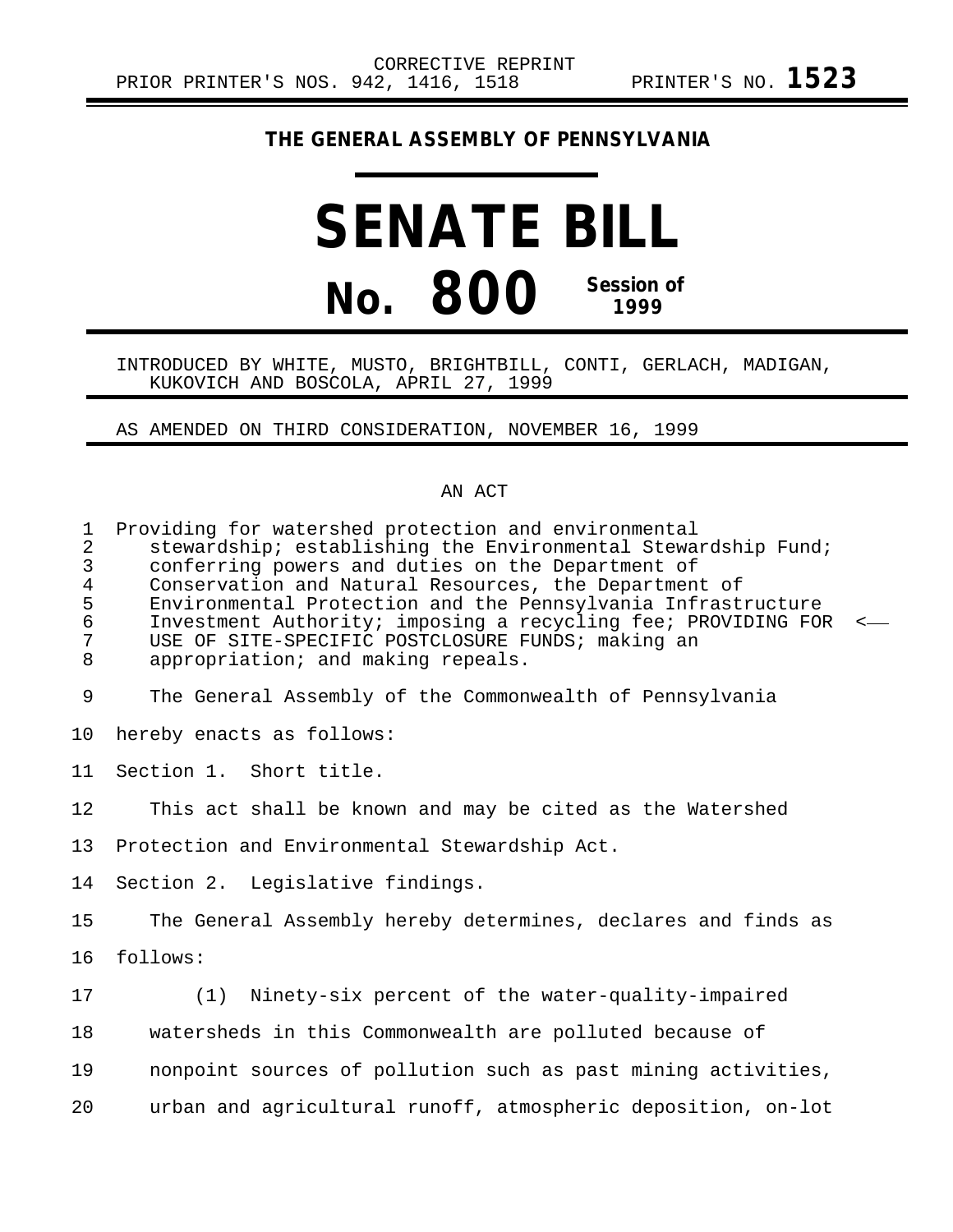## **THE GENERAL ASSEMBLY OF PENNSYLVANIA**

## **SENATE BILL No. 800 Session of 1999**

## INTRODUCED BY WHITE, MUSTO, BRIGHTBILL, CONTI, GERLACH, MADIGAN, KUKOVICH AND BOSCOLA, APRIL 27, 1999

AS AMENDED ON THIRD CONSIDERATION, NOVEMBER 16, 1999

## AN ACT

| $\mathbf{1}$<br>$\overline{a}$<br>$\mathsf{3}$<br>$\overline{4}$<br>5<br>$\epsilon$<br>7<br>8 | Providing for watershed protection and environmental<br>stewardship; establishing the Environmental Stewardship Fund;<br>conferring powers and duties on the Department of<br>Conservation and Natural Resources, the Department of<br>Environmental Protection and the Pennsylvania Infrastructure<br>Investment Authority; imposing a recycling fee; PROVIDING FOR<br>$\,<\,$<br>USE OF SITE-SPECIFIC POSTCLOSURE FUNDS; making an<br>appropriation; and making repeals. |
|-----------------------------------------------------------------------------------------------|----------------------------------------------------------------------------------------------------------------------------------------------------------------------------------------------------------------------------------------------------------------------------------------------------------------------------------------------------------------------------------------------------------------------------------------------------------------------------|
| 9                                                                                             | The General Assembly of the Commonwealth of Pennsylvania                                                                                                                                                                                                                                                                                                                                                                                                                   |
| 10                                                                                            | hereby enacts as follows:                                                                                                                                                                                                                                                                                                                                                                                                                                                  |
| 11                                                                                            | Section 1. Short title.                                                                                                                                                                                                                                                                                                                                                                                                                                                    |
| 12                                                                                            | This act shall be known and may be cited as the Watershed                                                                                                                                                                                                                                                                                                                                                                                                                  |
| 13                                                                                            | Protection and Environmental Stewardship Act.                                                                                                                                                                                                                                                                                                                                                                                                                              |
| 14                                                                                            | Section 2. Legislative findings.                                                                                                                                                                                                                                                                                                                                                                                                                                           |
| 15                                                                                            | The General Assembly hereby determines, declares and finds as                                                                                                                                                                                                                                                                                                                                                                                                              |
| 16                                                                                            | follows:                                                                                                                                                                                                                                                                                                                                                                                                                                                                   |
| 17                                                                                            | (1)<br>Ninety-six percent of the water-quality-impaired                                                                                                                                                                                                                                                                                                                                                                                                                    |
| 18                                                                                            | watersheds in this Commonwealth are polluted because of                                                                                                                                                                                                                                                                                                                                                                                                                    |
| 19                                                                                            | nonpoint sources of pollution such as past mining activities,                                                                                                                                                                                                                                                                                                                                                                                                              |
| 20                                                                                            | urban and agricultural runoff, atmospheric deposition, on-lot                                                                                                                                                                                                                                                                                                                                                                                                              |
|                                                                                               |                                                                                                                                                                                                                                                                                                                                                                                                                                                                            |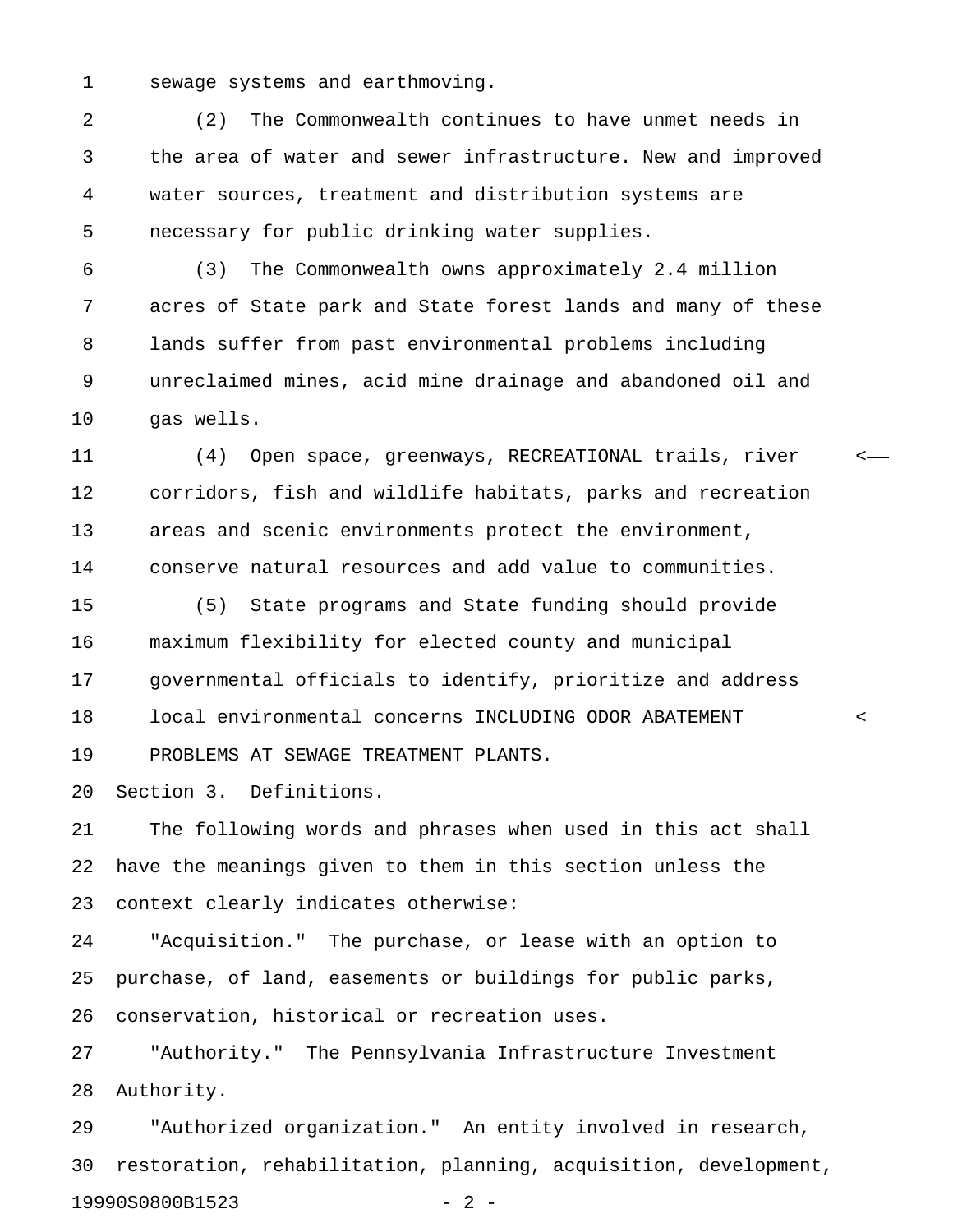1 sewage systems and earthmoving.

2 (2) The Commonwealth continues to have unmet needs in 3 the area of water and sewer infrastructure. New and improved 4 water sources, treatment and distribution systems are 5 necessary for public drinking water supplies.

6 (3) The Commonwealth owns approximately 2.4 million 7 acres of State park and State forest lands and many of these 8 lands suffer from past environmental problems including 9 unreclaimed mines, acid mine drainage and abandoned oil and 10 gas wells.

11 (4) Open space, greenways, RECREATIONAL trails, river < 12 corridors, fish and wildlife habitats, parks and recreation 13 areas and scenic environments protect the environment, 14 conserve natural resources and add value to communities.

15 (5) State programs and State funding should provide 16 maximum flexibility for elected county and municipal 17 governmental officials to identify, prioritize and address 18 local environmental concerns INCLUDING ODOR ABATEMENT < 19 PROBLEMS AT SEWAGE TREATMENT PLANTS.

20 Section 3. Definitions.

21 The following words and phrases when used in this act shall 22 have the meanings given to them in this section unless the 23 context clearly indicates otherwise:

24 "Acquisition." The purchase, or lease with an option to 25 purchase, of land, easements or buildings for public parks, 26 conservation, historical or recreation uses.

27 "Authority." The Pennsylvania Infrastructure Investment 28 Authority.

29 "Authorized organization." An entity involved in research, 30 restoration, rehabilitation, planning, acquisition, development, 19990S0800B1523 - 2 -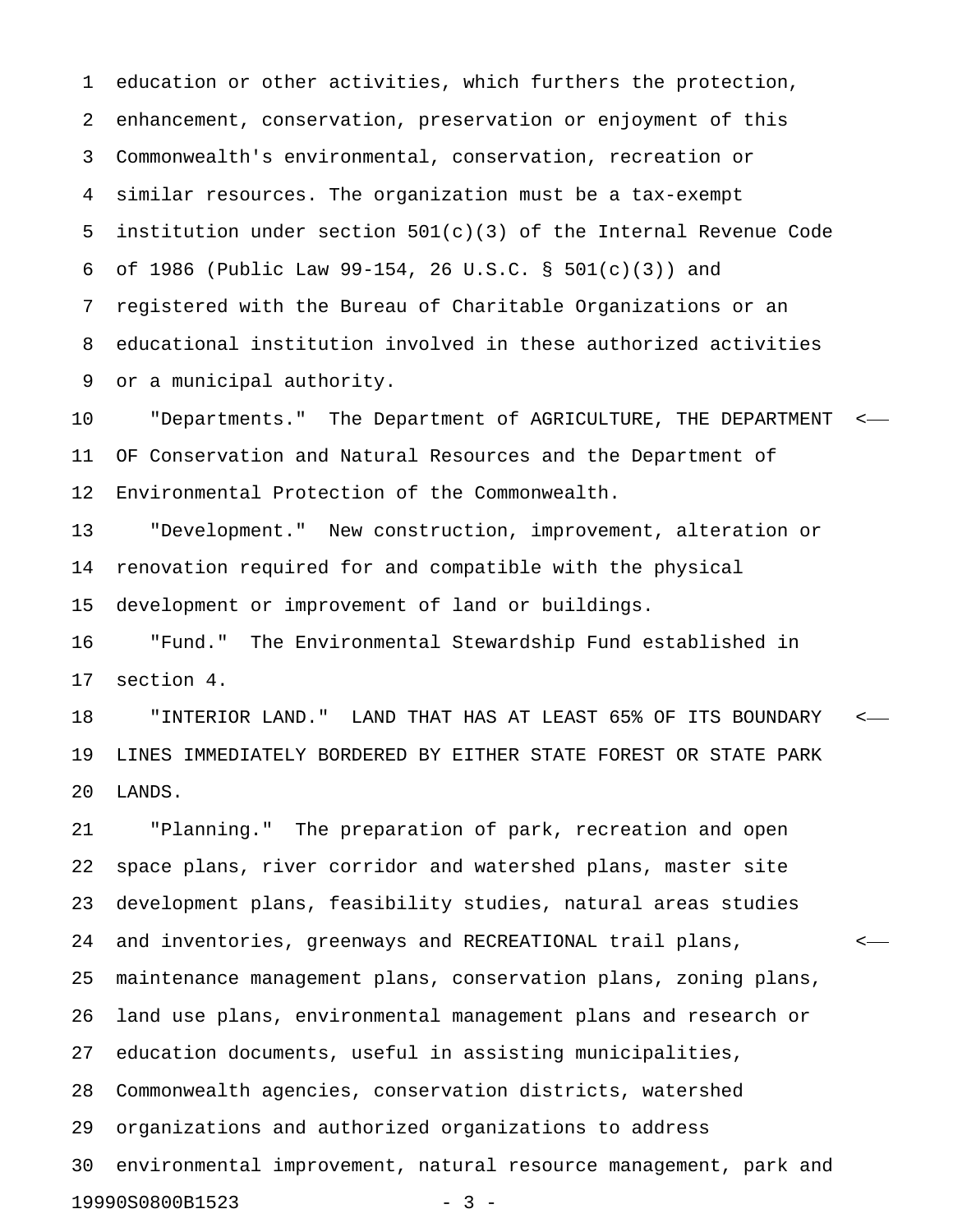1 education or other activities, which furthers the protection, 2 enhancement, conservation, preservation or enjoyment of this 3 Commonwealth's environmental, conservation, recreation or 4 similar resources. The organization must be a tax-exempt 5 institution under section 501(c)(3) of the Internal Revenue Code 6 of 1986 (Public Law 99-154, 26 U.S.C. § 501(c)(3)) and 7 registered with the Bureau of Charitable Organizations or an 8 educational institution involved in these authorized activities 9 or a municipal authority.

10 "Departments." The Department of AGRICULTURE, THE DEPARTMENT < 11 OF Conservation and Natural Resources and the Department of 12 Environmental Protection of the Commonwealth.

13 "Development." New construction, improvement, alteration or 14 renovation required for and compatible with the physical 15 development or improvement of land or buildings.

16 "Fund." The Environmental Stewardship Fund established in 17 section 4.

18 "INTERIOR LAND." LAND THAT HAS AT LEAST 65% OF ITS BOUNDARY < 19 LINES IMMEDIATELY BORDERED BY EITHER STATE FOREST OR STATE PARK 20 LANDS.

21 "Planning." The preparation of park, recreation and open 22 space plans, river corridor and watershed plans, master site 23 development plans, feasibility studies, natural areas studies 24 and inventories, greenways and RECREATIONAL trail plans, < 25 maintenance management plans, conservation plans, zoning plans, 26 land use plans, environmental management plans and research or 27 education documents, useful in assisting municipalities, 28 Commonwealth agencies, conservation districts, watershed 29 organizations and authorized organizations to address 30 environmental improvement, natural resource management, park and 19990S0800B1523 - 3 -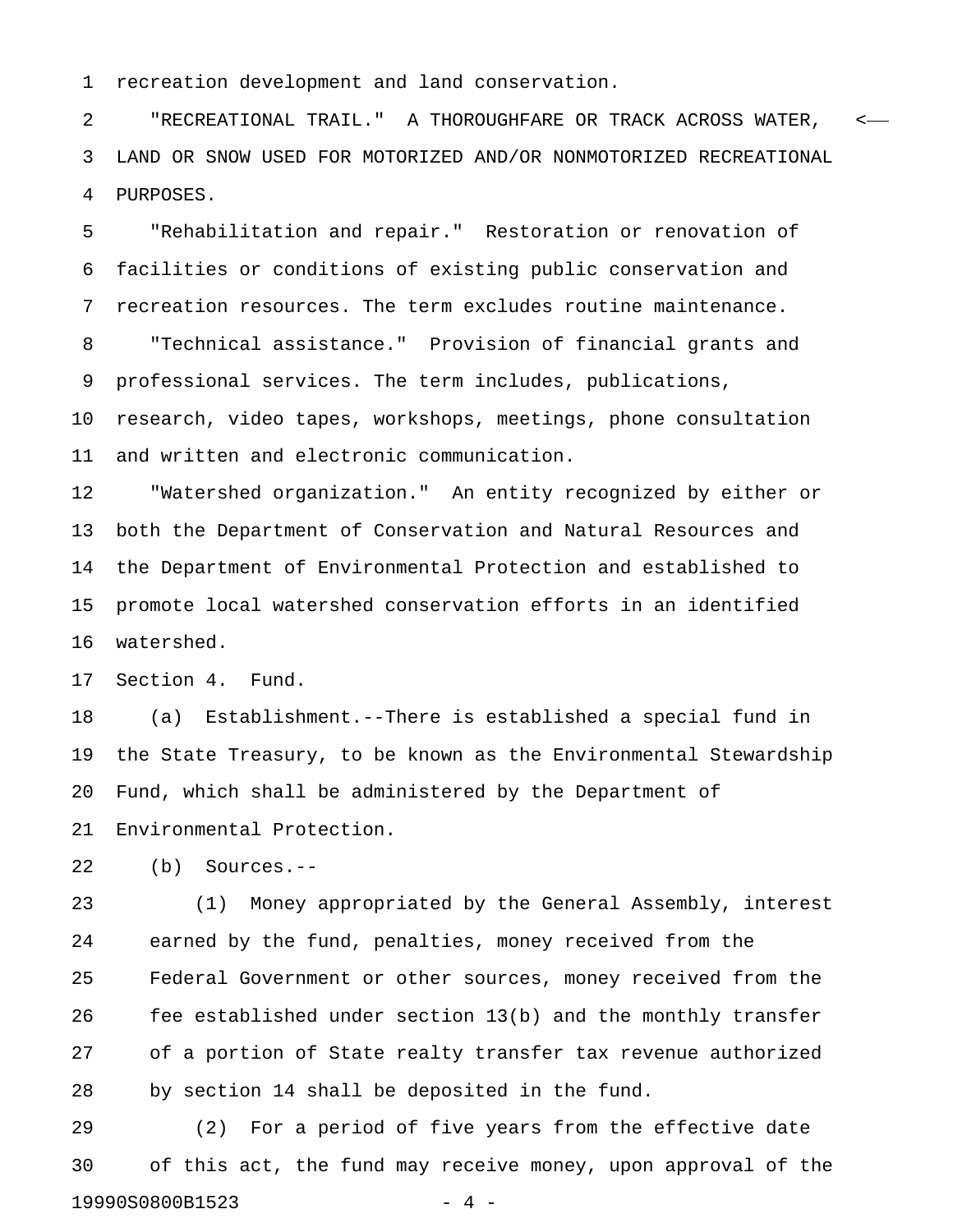1 recreation development and land conservation.

2 "RECREATIONAL TRAIL." A THOROUGHFARE OR TRACK ACROSS WATER, < 3 LAND OR SNOW USED FOR MOTORIZED AND/OR NONMOTORIZED RECREATIONAL 4 PURPOSES.

5 "Rehabilitation and repair." Restoration or renovation of 6 facilities or conditions of existing public conservation and 7 recreation resources. The term excludes routine maintenance. 8 "Technical assistance." Provision of financial grants and 9 professional services. The term includes, publications, 10 research, video tapes, workshops, meetings, phone consultation 11 and written and electronic communication.

12 "Watershed organization." An entity recognized by either or 13 both the Department of Conservation and Natural Resources and 14 the Department of Environmental Protection and established to 15 promote local watershed conservation efforts in an identified 16 watershed.

17 Section 4. Fund.

18 (a) Establishment.--There is established a special fund in 19 the State Treasury, to be known as the Environmental Stewardship 20 Fund, which shall be administered by the Department of 21 Environmental Protection.

22 (b) Sources.--

23 (1) Money appropriated by the General Assembly, interest 24 earned by the fund, penalties, money received from the 25 Federal Government or other sources, money received from the 26 fee established under section 13(b) and the monthly transfer 27 of a portion of State realty transfer tax revenue authorized 28 by section 14 shall be deposited in the fund.

29 (2) For a period of five years from the effective date 30 of this act, the fund may receive money, upon approval of the 19990S0800B1523 - 4 -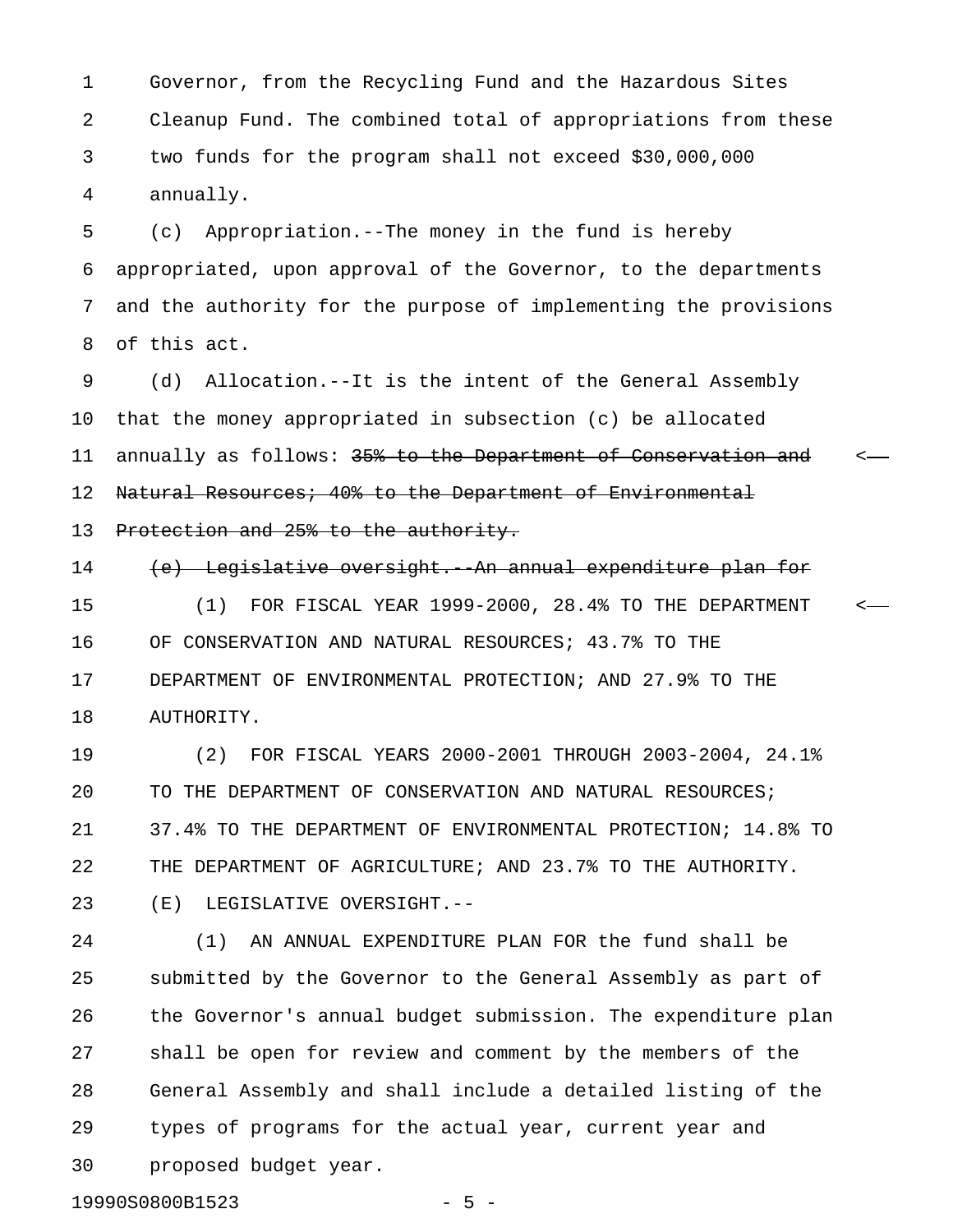1 Governor, from the Recycling Fund and the Hazardous Sites 2 Cleanup Fund. The combined total of appropriations from these 3 two funds for the program shall not exceed \$30,000,000 4 annually.

5 (c) Appropriation.--The money in the fund is hereby 6 appropriated, upon approval of the Governor, to the departments 7 and the authority for the purpose of implementing the provisions 8 of this act.

9 (d) Allocation.--It is the intent of the General Assembly 10 that the money appropriated in subsection (c) be allocated 11 annually as follows: 35% to the Department of Conservation and <-12 Natural Resources; 40% to the Department of Environmental 13 Protection and 25% to the authority.

14 (e) Legislative oversight. An annual expenditure plan for 15 (1) FOR FISCAL YEAR 1999-2000, 28.4% TO THE DEPARTMENT < 16 OF CONSERVATION AND NATURAL RESOURCES; 43.7% TO THE 17 DEPARTMENT OF ENVIRONMENTAL PROTECTION; AND 27.9% TO THE 18 AUTHORITY.

19 (2) FOR FISCAL YEARS 2000-2001 THROUGH 2003-2004, 24.1% 20 TO THE DEPARTMENT OF CONSERVATION AND NATURAL RESOURCES; 21 37.4% TO THE DEPARTMENT OF ENVIRONMENTAL PROTECTION; 14.8% TO 22 THE DEPARTMENT OF AGRICULTURE; AND 23.7% TO THE AUTHORITY. 23 (E) LEGISLATIVE OVERSIGHT.--

24 (1) AN ANNUAL EXPENDITURE PLAN FOR the fund shall be 25 submitted by the Governor to the General Assembly as part of 26 the Governor's annual budget submission. The expenditure plan 27 shall be open for review and comment by the members of the 28 General Assembly and shall include a detailed listing of the 29 types of programs for the actual year, current year and 30 proposed budget year.

19990S0800B1523 - 5 -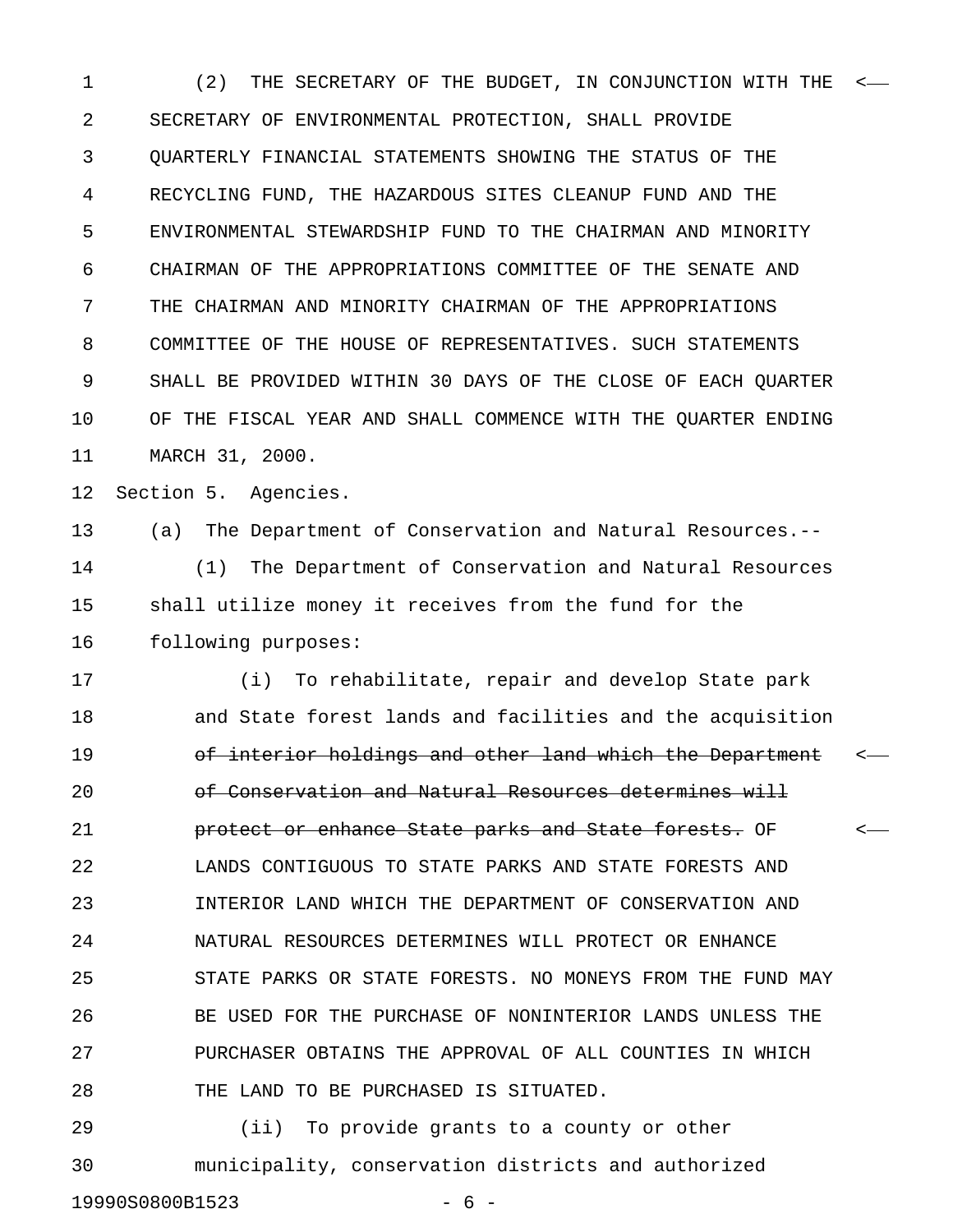1 (2) THE SECRETARY OF THE BUDGET, IN CONJUNCTION WITH THE < 2 SECRETARY OF ENVIRONMENTAL PROTECTION, SHALL PROVIDE 3 QUARTERLY FINANCIAL STATEMENTS SHOWING THE STATUS OF THE 4 RECYCLING FUND, THE HAZARDOUS SITES CLEANUP FUND AND THE 5 ENVIRONMENTAL STEWARDSHIP FUND TO THE CHAIRMAN AND MINORITY 6 CHAIRMAN OF THE APPROPRIATIONS COMMITTEE OF THE SENATE AND 7 THE CHAIRMAN AND MINORITY CHAIRMAN OF THE APPROPRIATIONS 8 COMMITTEE OF THE HOUSE OF REPRESENTATIVES. SUCH STATEMENTS 9 SHALL BE PROVIDED WITHIN 30 DAYS OF THE CLOSE OF EACH QUARTER 10 OF THE FISCAL YEAR AND SHALL COMMENCE WITH THE QUARTER ENDING 11 MARCH 31, 2000. 12 Section 5. Agencies. 13 (a) The Department of Conservation and Natural Resources.-- 14 (1) The Department of Conservation and Natural Resources 15 shall utilize money it receives from the fund for the 16 following purposes: 17 (i) To rehabilitate, repair and develop State park 18 and State forest lands and facilities and the acquisition 19 **19** of interior holdings and other land which the Department  $\leftarrow$ 20 **be Conservation and Natural Resources determines will** 21 **brotect or enhance State parks and State forests.** OF  $\leftarrow$ 22 LANDS CONTIGUOUS TO STATE PARKS AND STATE FORESTS AND 23 INTERIOR LAND WHICH THE DEPARTMENT OF CONSERVATION AND 24 NATURAL RESOURCES DETERMINES WILL PROTECT OR ENHANCE 25 STATE PARKS OR STATE FORESTS. NO MONEYS FROM THE FUND MAY 26 BE USED FOR THE PURCHASE OF NONINTERIOR LANDS UNLESS THE 27 PURCHASER OBTAINS THE APPROVAL OF ALL COUNTIES IN WHICH 28 THE LAND TO BE PURCHASED IS SITUATED. 29 (ii) To provide grants to a county or other

30 municipality, conservation districts and authorized 19990S0800B1523 - 6 -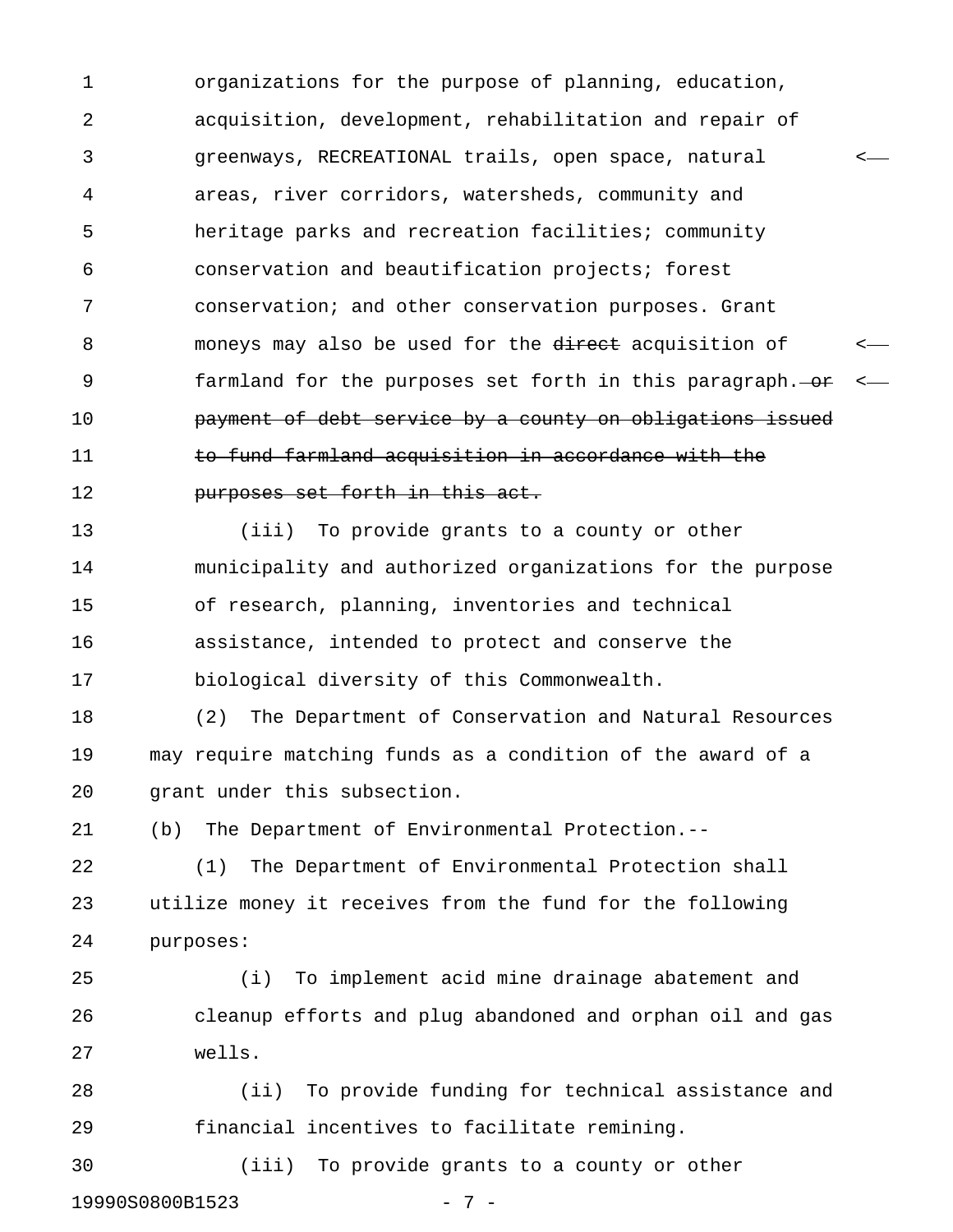1 organizations for the purpose of planning, education, 2 acquisition, development, rehabilitation and repair of 3 greenways, RECREATIONAL trails, open space, natural < 4 areas, river corridors, watersheds, community and 5 heritage parks and recreation facilities; community 6 conservation and beautification projects; forest 7 conservation; and other conservation purposes. Grant 8 moneys may also be used for the direct acquisition of 9 farmland for the purposes set forth in this paragraph. 10 **payment of debt service by a county on obligations issued** 11 to fund farmland acquisition in accordance with the 12 purposes set forth in this act.

13 (iii) To provide grants to a county or other 14 municipality and authorized organizations for the purpose 15 of research, planning, inventories and technical 16 assistance, intended to protect and conserve the 17 biological diversity of this Commonwealth.

18 (2) The Department of Conservation and Natural Resources 19 may require matching funds as a condition of the award of a 20 grant under this subsection.

21 (b) The Department of Environmental Protection.--

22 (1) The Department of Environmental Protection shall 23 utilize money it receives from the fund for the following 24 purposes:

25 (i) To implement acid mine drainage abatement and 26 cleanup efforts and plug abandoned and orphan oil and gas 27 wells.

28 (ii) To provide funding for technical assistance and 29 financial incentives to facilitate remining.

30 (iii) To provide grants to a county or other 19990S0800B1523 - 7 -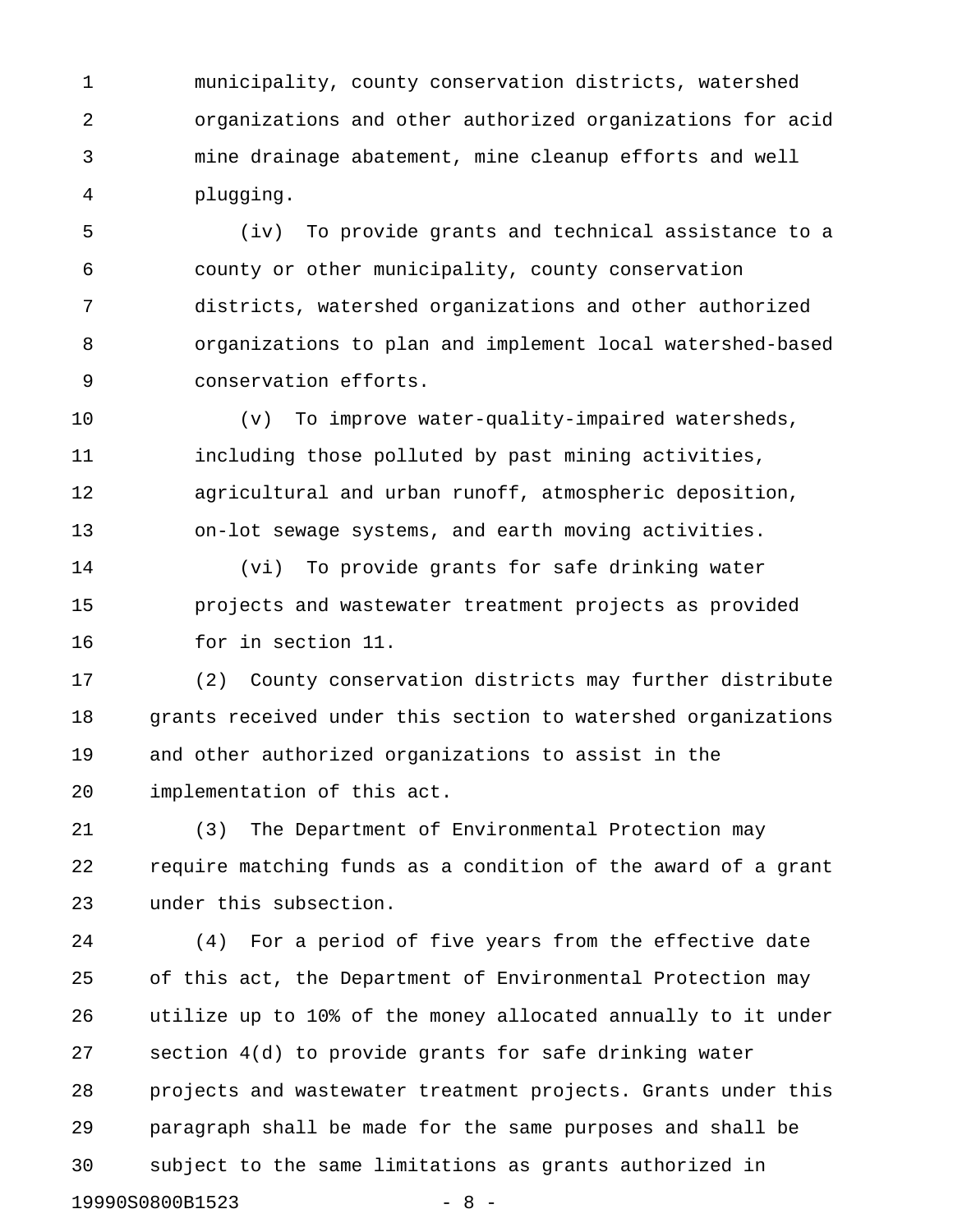1 municipality, county conservation districts, watershed 2 organizations and other authorized organizations for acid 3 mine drainage abatement, mine cleanup efforts and well 4 plugging.

5 (iv) To provide grants and technical assistance to a 6 county or other municipality, county conservation 7 districts, watershed organizations and other authorized 8 organizations to plan and implement local watershed-based 9 conservation efforts.

10 (v) To improve water-quality-impaired watersheds, 11 including those polluted by past mining activities, 12 agricultural and urban runoff, atmospheric deposition, 13 on-lot sewage systems, and earth moving activities.

14 (vi) To provide grants for safe drinking water 15 projects and wastewater treatment projects as provided 16 for in section 11.

17 (2) County conservation districts may further distribute 18 grants received under this section to watershed organizations 19 and other authorized organizations to assist in the 20 implementation of this act.

21 (3) The Department of Environmental Protection may 22 require matching funds as a condition of the award of a grant 23 under this subsection.

24 (4) For a period of five years from the effective date 25 of this act, the Department of Environmental Protection may 26 utilize up to 10% of the money allocated annually to it under 27 section 4(d) to provide grants for safe drinking water 28 projects and wastewater treatment projects. Grants under this 29 paragraph shall be made for the same purposes and shall be 30 subject to the same limitations as grants authorized in 19990S0800B1523 - 8 -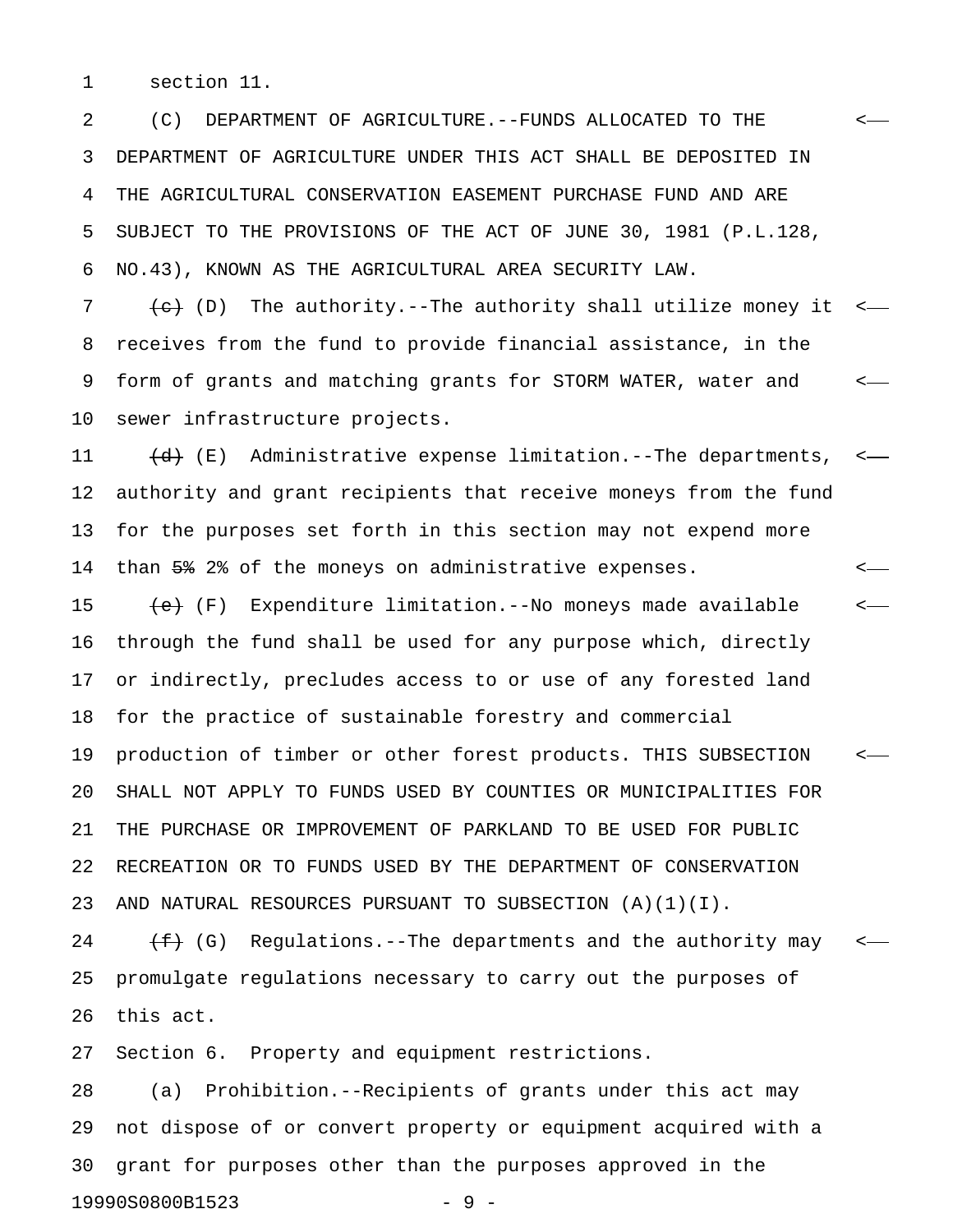1 section 11.

2 (C) DEPARTMENT OF AGRICULTURE.--FUNDS ALLOCATED TO THE < 3 DEPARTMENT OF AGRICULTURE UNDER THIS ACT SHALL BE DEPOSITED IN 4 THE AGRICULTURAL CONSERVATION EASEMENT PURCHASE FUND AND ARE 5 SUBJECT TO THE PROVISIONS OF THE ACT OF JUNE 30, 1981 (P.L.128, 6 NO.43), KNOWN AS THE AGRICULTURAL AREA SECURITY LAW.

7  $\leftarrow$  (D) The authority.--The authority shall utilize money it <-8 receives from the fund to provide financial assistance, in the 9 form of grants and matching grants for STORM WATER, water and < 10 sewer infrastructure projects.

11  $(d)$  (E) Administrative expense limitation.--The departments, <-12 authority and grant recipients that receive moneys from the fund 13 for the purposes set forth in this section may not expend more 14 than 5% 2% of the moneys on administrative expenses.  $\leftarrow$ 

15  $\leftarrow$  (F) Expenditure limitation.--No moneys made available  $\leftarrow$ 16 through the fund shall be used for any purpose which, directly 17 or indirectly, precludes access to or use of any forested land 18 for the practice of sustainable forestry and commercial 19 production of timber or other forest products. THIS SUBSECTION < 20 SHALL NOT APPLY TO FUNDS USED BY COUNTIES OR MUNICIPALITIES FOR 21 THE PURCHASE OR IMPROVEMENT OF PARKLAND TO BE USED FOR PUBLIC 22 RECREATION OR TO FUNDS USED BY THE DEPARTMENT OF CONSERVATION 23 AND NATURAL RESOURCES PURSUANT TO SUBSECTION (A)(1)(I).

24  $(f+)$  (G) Regulations.--The departments and the authority may  $\leftarrow$ 25 promulgate regulations necessary to carry out the purposes of 26 this act.

27 Section 6. Property and equipment restrictions.

28 (a) Prohibition.--Recipients of grants under this act may 29 not dispose of or convert property or equipment acquired with a 30 grant for purposes other than the purposes approved in the 19990S0800B1523 - 9 -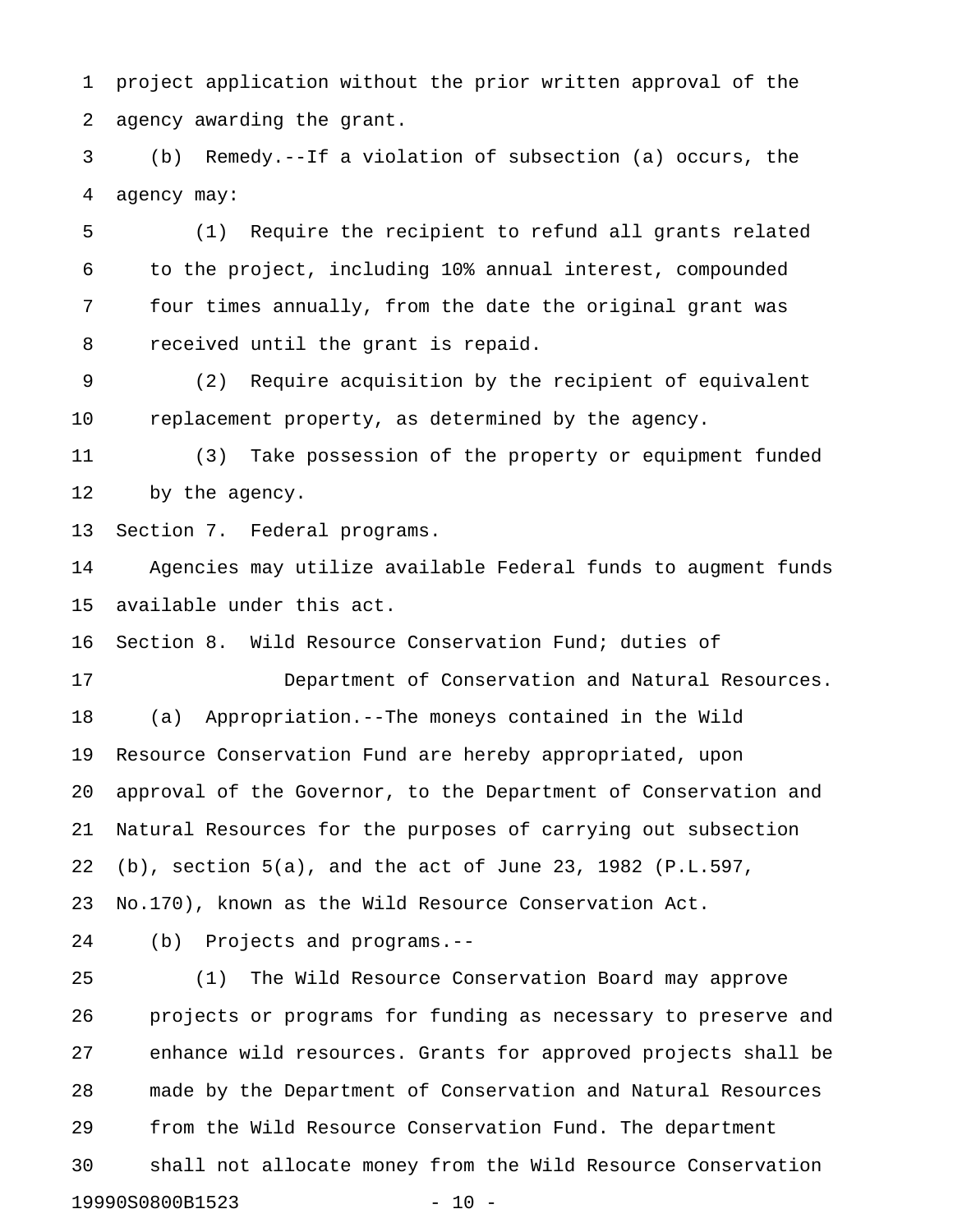1 project application without the prior written approval of the 2 agency awarding the grant.

3 (b) Remedy.--If a violation of subsection (a) occurs, the 4 agency may:

5 (1) Require the recipient to refund all grants related 6 to the project, including 10% annual interest, compounded 7 four times annually, from the date the original grant was 8 received until the grant is repaid.

9 (2) Require acquisition by the recipient of equivalent 10 replacement property, as determined by the agency.

11 (3) Take possession of the property or equipment funded 12 by the agency.

13 Section 7. Federal programs.

14 Agencies may utilize available Federal funds to augment funds 15 available under this act.

16 Section 8. Wild Resource Conservation Fund; duties of

17 Department of Conservation and Natural Resources. 18 (a) Appropriation.--The moneys contained in the Wild 19 Resource Conservation Fund are hereby appropriated, upon 20 approval of the Governor, to the Department of Conservation and 21 Natural Resources for the purposes of carrying out subsection 22 (b), section 5(a), and the act of June 23, 1982 (P.L.597, 23 No.170), known as the Wild Resource Conservation Act.

24 (b) Projects and programs.--

25 (1) The Wild Resource Conservation Board may approve 26 projects or programs for funding as necessary to preserve and 27 enhance wild resources. Grants for approved projects shall be 28 made by the Department of Conservation and Natural Resources 29 from the Wild Resource Conservation Fund. The department 30 shall not allocate money from the Wild Resource Conservation 19990S0800B1523 - 10 -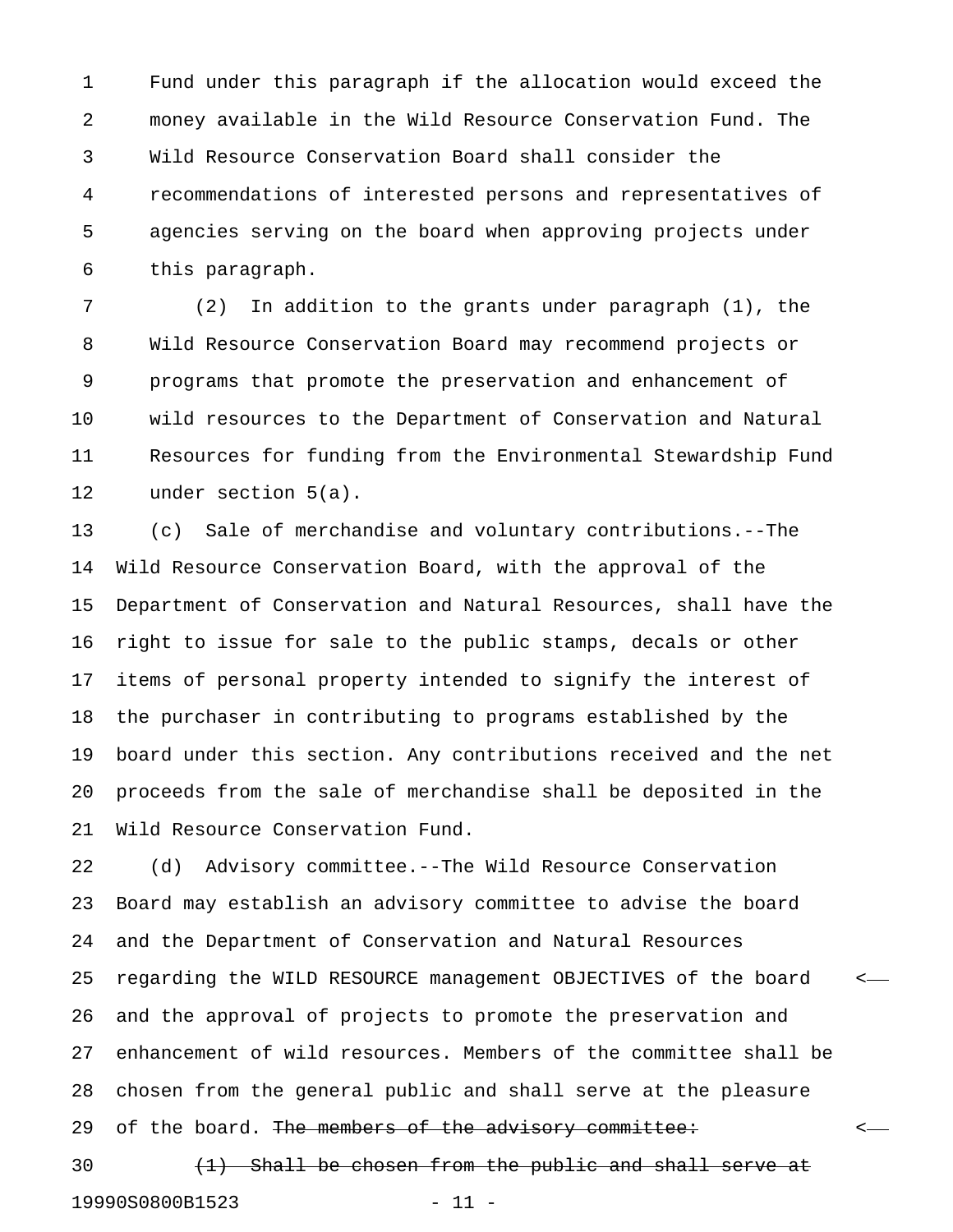1 Fund under this paragraph if the allocation would exceed the 2 money available in the Wild Resource Conservation Fund. The 3 Wild Resource Conservation Board shall consider the 4 recommendations of interested persons and representatives of 5 agencies serving on the board when approving projects under 6 this paragraph.

7 (2) In addition to the grants under paragraph (1), the 8 Wild Resource Conservation Board may recommend projects or 9 programs that promote the preservation and enhancement of 10 wild resources to the Department of Conservation and Natural 11 Resources for funding from the Environmental Stewardship Fund 12 under section 5(a).

13 (c) Sale of merchandise and voluntary contributions.--The 14 Wild Resource Conservation Board, with the approval of the 15 Department of Conservation and Natural Resources, shall have the 16 right to issue for sale to the public stamps, decals or other 17 items of personal property intended to signify the interest of 18 the purchaser in contributing to programs established by the 19 board under this section. Any contributions received and the net 20 proceeds from the sale of merchandise shall be deposited in the 21 Wild Resource Conservation Fund.

22 (d) Advisory committee.--The Wild Resource Conservation 23 Board may establish an advisory committee to advise the board 24 and the Department of Conservation and Natural Resources 25 regarding the WILD RESOURCE management OBJECTIVES of the board < 26 and the approval of projects to promote the preservation and 27 enhancement of wild resources. Members of the committee shall be 28 chosen from the general public and shall serve at the pleasure 29 of the board. <del>The members of the advisory committee:</del>  $\langle \cdot \rangle$ 

 $30$  (1) Shall be chosen from the public and shall serve at 19990S0800B1523 - 11 -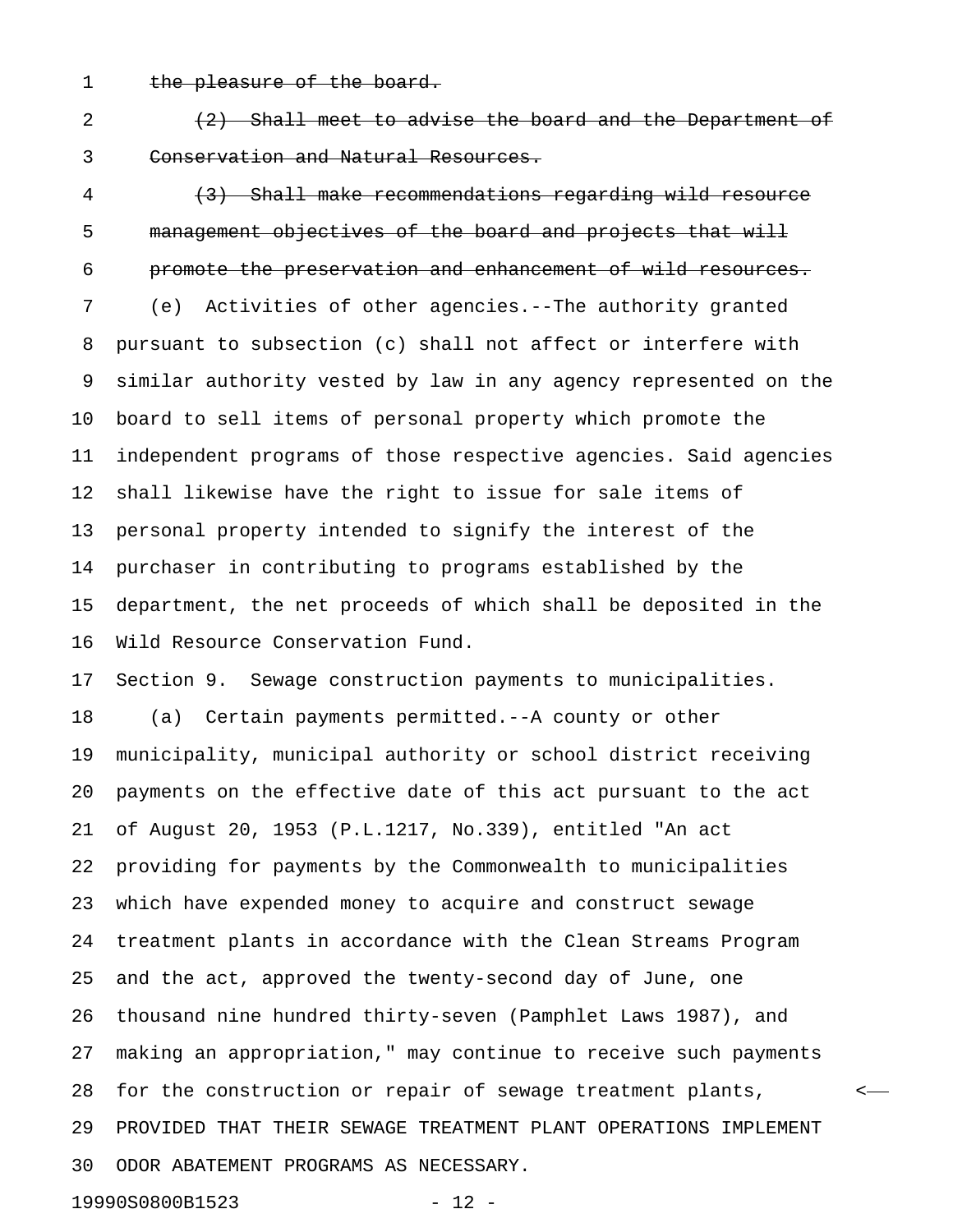1 the pleasure of the board.

 $(2)$   $(2)$  Shall meet to advise the board and the Department of 3 Conservation and Natural Resources.

4 (3) Shall make recommendations regarding wild resource 5 management objectives of the board and projects that will 6 promote the preservation and enhancement of wild resources. 7 (e) Activities of other agencies.--The authority granted 8 pursuant to subsection (c) shall not affect or interfere with 9 similar authority vested by law in any agency represented on the 10 board to sell items of personal property which promote the 11 independent programs of those respective agencies. Said agencies 12 shall likewise have the right to issue for sale items of 13 personal property intended to signify the interest of the 14 purchaser in contributing to programs established by the 15 department, the net proceeds of which shall be deposited in the 16 Wild Resource Conservation Fund. 17 Section 9. Sewage construction payments to municipalities.

18 (a) Certain payments permitted.--A county or other 19 municipality, municipal authority or school district receiving 20 payments on the effective date of this act pursuant to the act 21 of August 20, 1953 (P.L.1217, No.339), entitled "An act 22 providing for payments by the Commonwealth to municipalities 23 which have expended money to acquire and construct sewage 24 treatment plants in accordance with the Clean Streams Program 25 and the act, approved the twenty-second day of June, one 26 thousand nine hundred thirty-seven (Pamphlet Laws 1987), and 27 making an appropriation," may continue to receive such payments 28 for the construction or repair of sewage treatment plants, < 29 PROVIDED THAT THEIR SEWAGE TREATMENT PLANT OPERATIONS IMPLEMENT 30 ODOR ABATEMENT PROGRAMS AS NECESSARY.

19990S0800B1523 - 12 -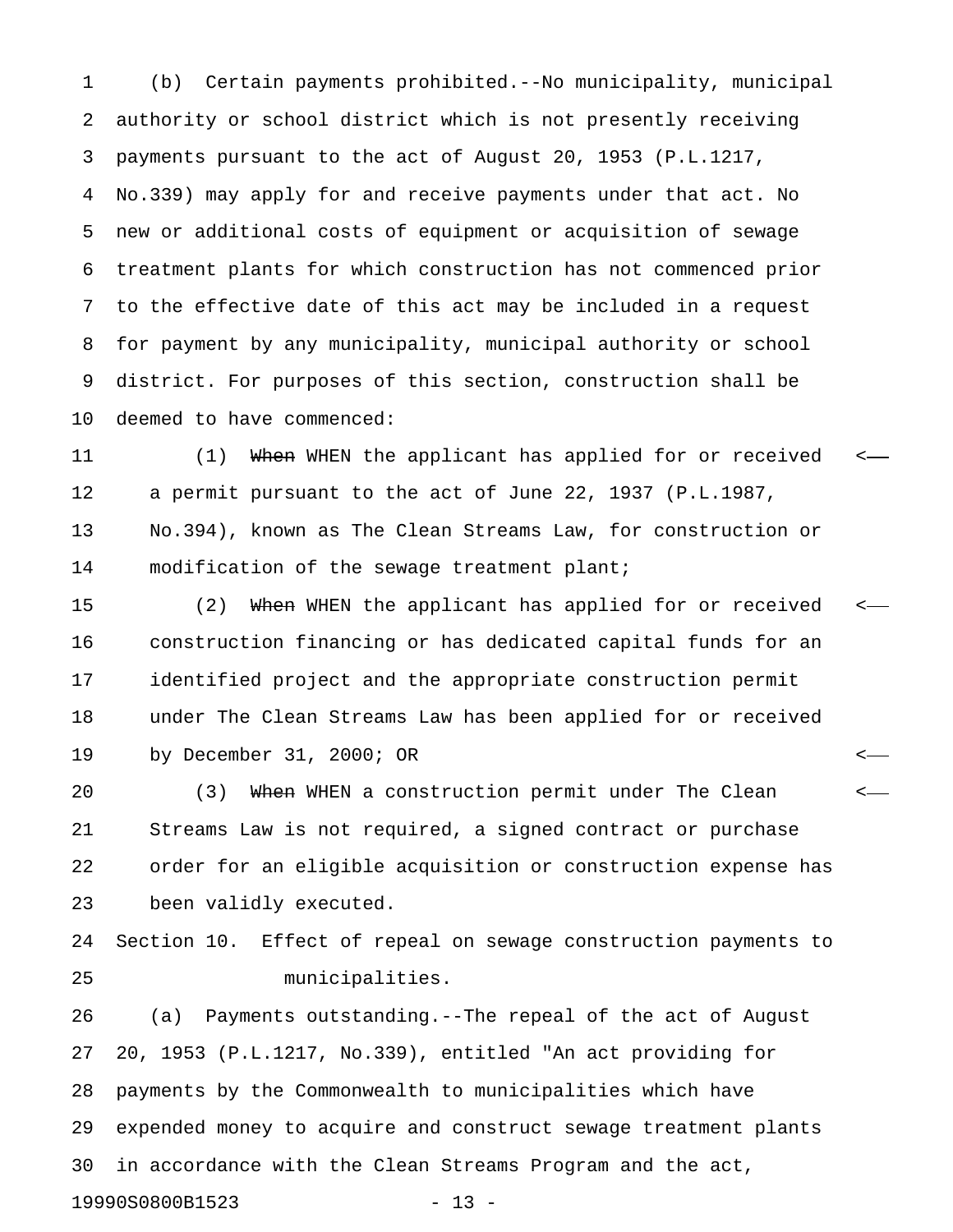1 (b) Certain payments prohibited.--No municipality, municipal 2 authority or school district which is not presently receiving 3 payments pursuant to the act of August 20, 1953 (P.L.1217, 4 No.339) may apply for and receive payments under that act. No 5 new or additional costs of equipment or acquisition of sewage 6 treatment plants for which construction has not commenced prior 7 to the effective date of this act may be included in a request 8 for payment by any municipality, municipal authority or school 9 district. For purposes of this section, construction shall be 10 deemed to have commenced:

11 (1) When WHEN the applicant has applied for or received <-12 a permit pursuant to the act of June 22, 1937 (P.L.1987, 13 No.394), known as The Clean Streams Law, for construction or 14 modification of the sewage treatment plant;

15 (2) When WHEN the applicant has applied for or received <-16 construction financing or has dedicated capital funds for an 17 identified project and the appropriate construction permit 18 under The Clean Streams Law has been applied for or received 19 by December 31, 2000; OR <

20 (3) When WHEN a construction permit under The Clean  $\leftarrow$ 21 Streams Law is not required, a signed contract or purchase 22 order for an eligible acquisition or construction expense has 23 been validly executed.

24 Section 10. Effect of repeal on sewage construction payments to 25 municipalities.

26 (a) Payments outstanding.--The repeal of the act of August 27 20, 1953 (P.L.1217, No.339), entitled "An act providing for 28 payments by the Commonwealth to municipalities which have 29 expended money to acquire and construct sewage treatment plants 30 in accordance with the Clean Streams Program and the act, 19990S0800B1523 - 13 -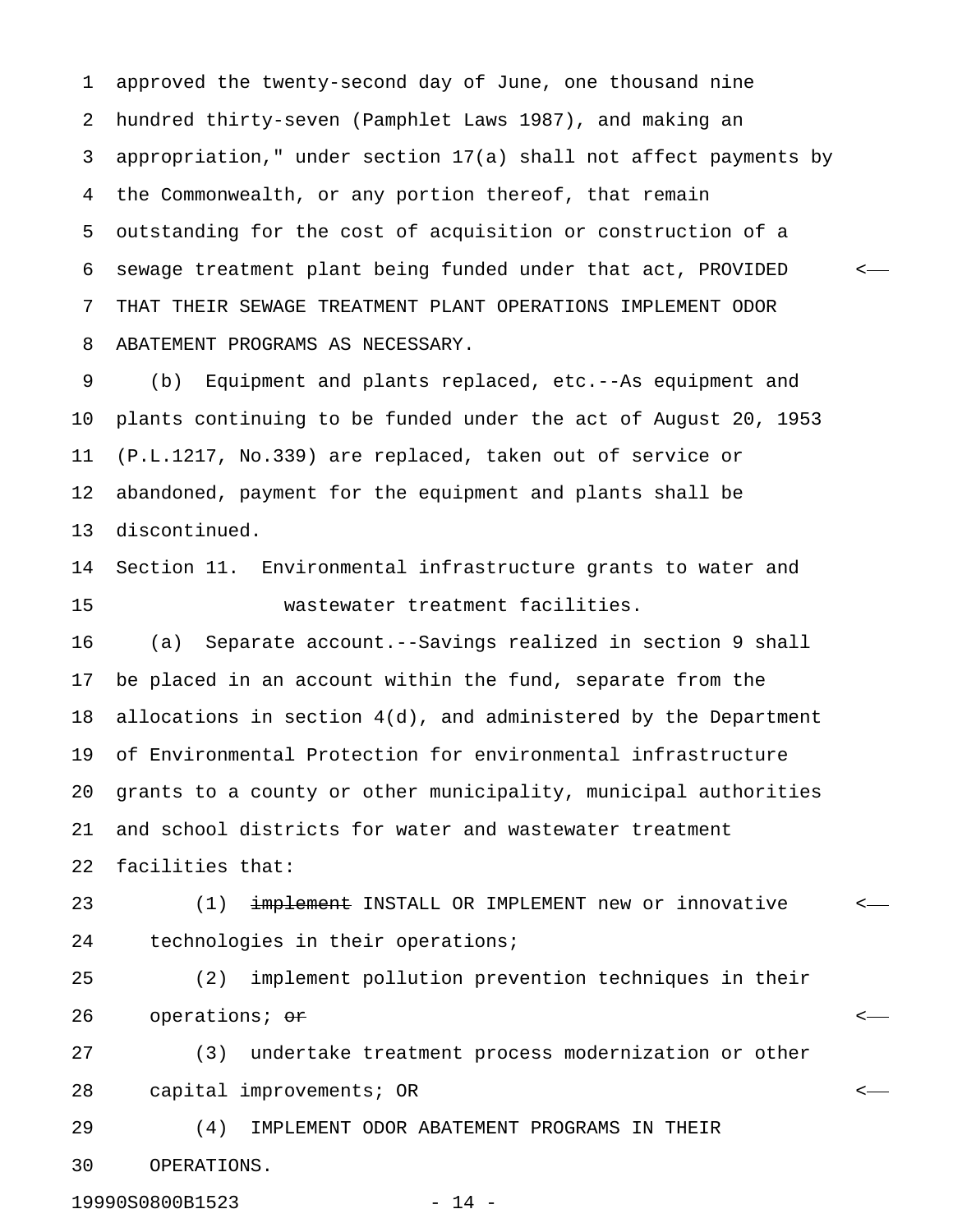1 approved the twenty-second day of June, one thousand nine 2 hundred thirty-seven (Pamphlet Laws 1987), and making an 3 appropriation," under section 17(a) shall not affect payments by 4 the Commonwealth, or any portion thereof, that remain 5 outstanding for the cost of acquisition or construction of a 6 sewage treatment plant being funded under that act, PROVIDED < 7 THAT THEIR SEWAGE TREATMENT PLANT OPERATIONS IMPLEMENT ODOR 8 ABATEMENT PROGRAMS AS NECESSARY.

9 (b) Equipment and plants replaced, etc.--As equipment and 10 plants continuing to be funded under the act of August 20, 1953 11 (P.L.1217, No.339) are replaced, taken out of service or 12 abandoned, payment for the equipment and plants shall be 13 discontinued.

14 Section 11. Environmental infrastructure grants to water and 15 wastewater treatment facilities.

16 (a) Separate account.--Savings realized in section 9 shall 17 be placed in an account within the fund, separate from the 18 allocations in section 4(d), and administered by the Department 19 of Environmental Protection for environmental infrastructure 20 grants to a county or other municipality, municipal authorities 21 and school districts for water and wastewater treatment 22 facilities that:

23 (1) <del>implement</del> INSTALL OR IMPLEMENT new or innovative <-24 technologies in their operations;

25 (2) implement pollution prevention techniques in their 26 operations; <del>or</del> the contract of the contract of the contract of the contract of the contract of the contract of the contract of the contract of the contract of the contract of the contract of the contract of the contra

27 (3) undertake treatment process modernization or other 28 capital improvements; OR <

29 (4) IMPLEMENT ODOR ABATEMENT PROGRAMS IN THEIR 30 OPERATIONS.

19990S0800B1523 - 14 -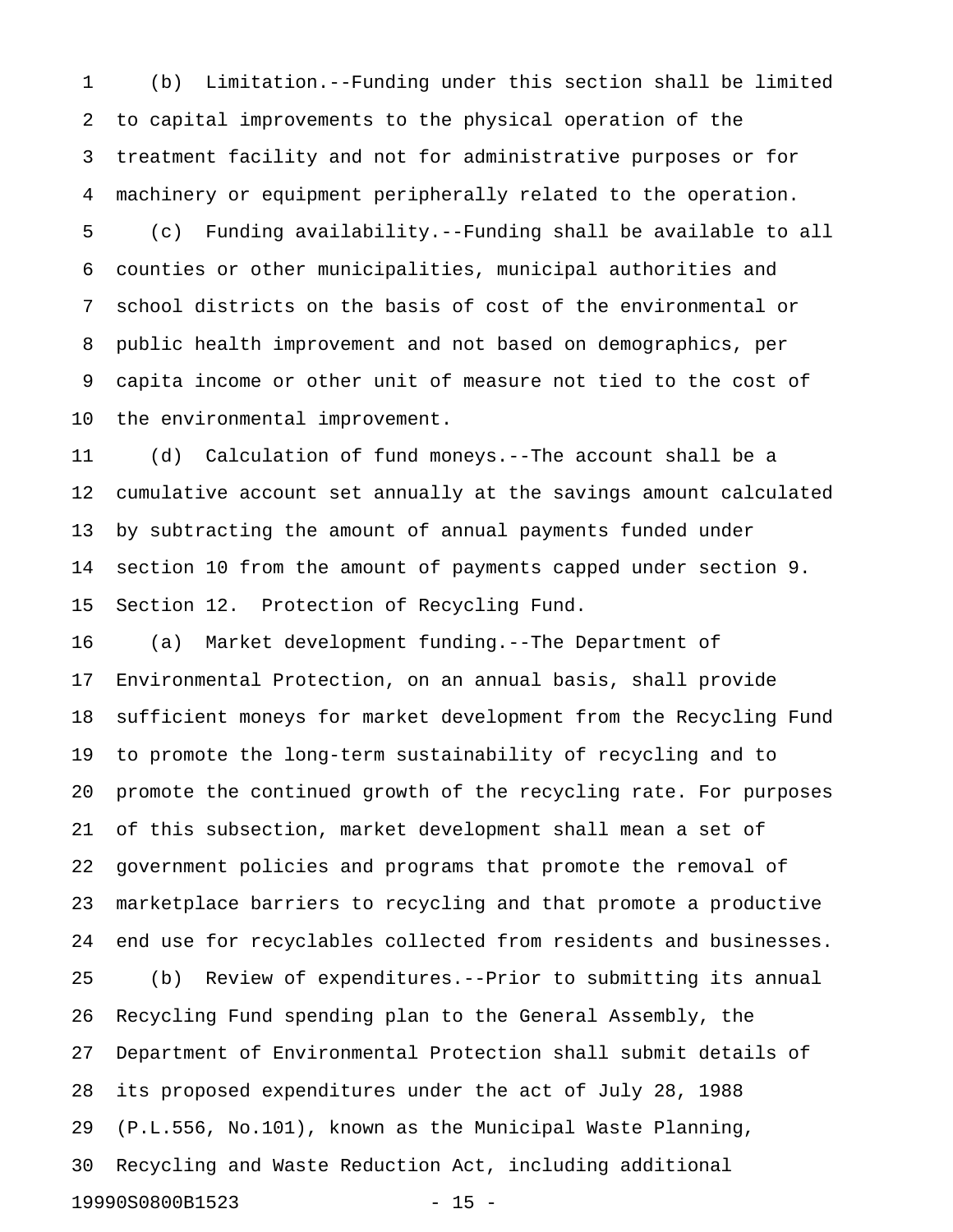1 (b) Limitation.--Funding under this section shall be limited 2 to capital improvements to the physical operation of the 3 treatment facility and not for administrative purposes or for 4 machinery or equipment peripherally related to the operation. 5 (c) Funding availability.--Funding shall be available to all 6 counties or other municipalities, municipal authorities and 7 school districts on the basis of cost of the environmental or 8 public health improvement and not based on demographics, per 9 capita income or other unit of measure not tied to the cost of 10 the environmental improvement.

11 (d) Calculation of fund moneys.--The account shall be a 12 cumulative account set annually at the savings amount calculated 13 by subtracting the amount of annual payments funded under 14 section 10 from the amount of payments capped under section 9. 15 Section 12. Protection of Recycling Fund.

16 (a) Market development funding.--The Department of 17 Environmental Protection, on an annual basis, shall provide 18 sufficient moneys for market development from the Recycling Fund 19 to promote the long-term sustainability of recycling and to 20 promote the continued growth of the recycling rate. For purposes 21 of this subsection, market development shall mean a set of 22 government policies and programs that promote the removal of 23 marketplace barriers to recycling and that promote a productive 24 end use for recyclables collected from residents and businesses. 25 (b) Review of expenditures.--Prior to submitting its annual 26 Recycling Fund spending plan to the General Assembly, the 27 Department of Environmental Protection shall submit details of 28 its proposed expenditures under the act of July 28, 1988 29 (P.L.556, No.101), known as the Municipal Waste Planning, 30 Recycling and Waste Reduction Act, including additional 19990S0800B1523 - 15 -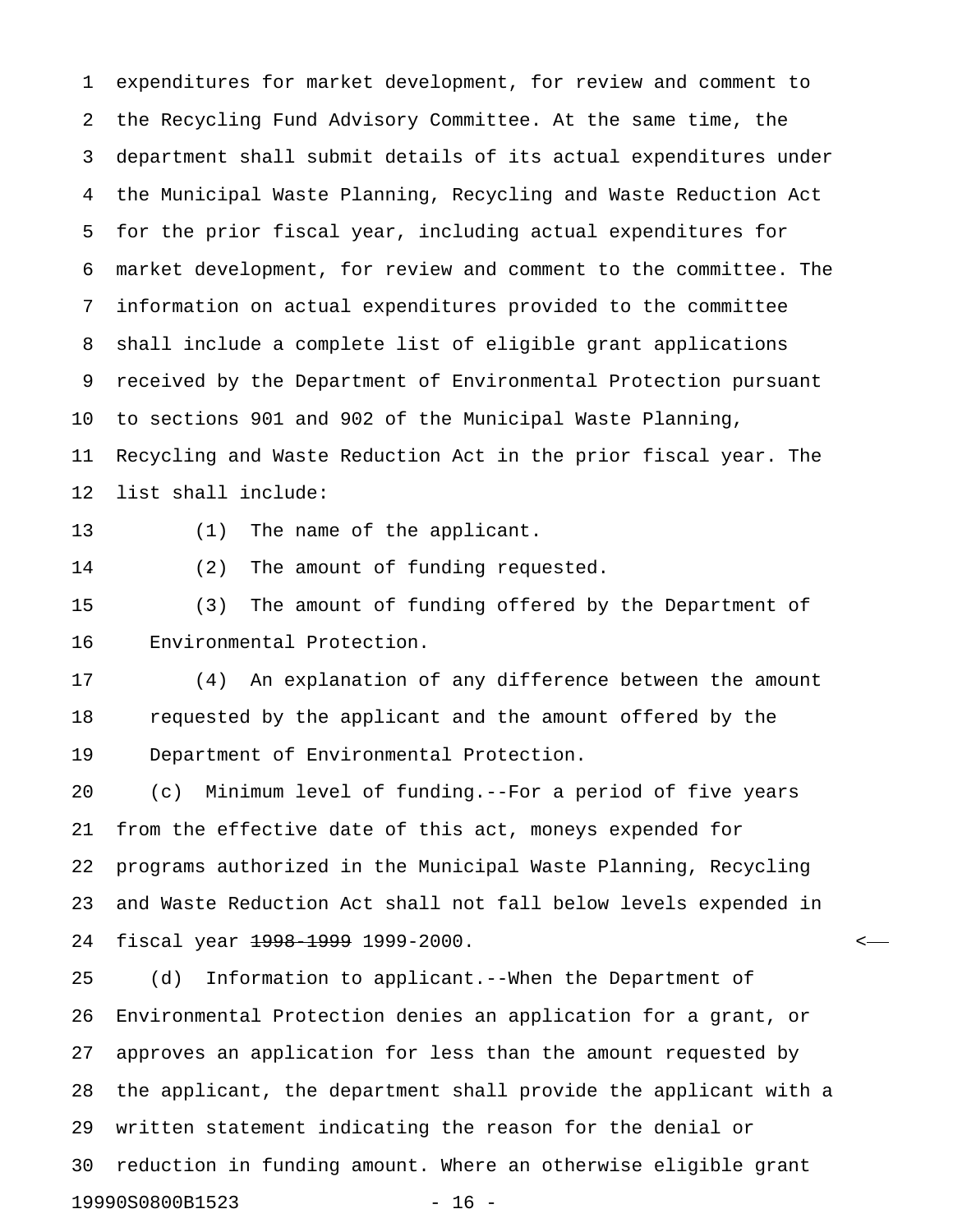1 expenditures for market development, for review and comment to 2 the Recycling Fund Advisory Committee. At the same time, the 3 department shall submit details of its actual expenditures under 4 the Municipal Waste Planning, Recycling and Waste Reduction Act 5 for the prior fiscal year, including actual expenditures for 6 market development, for review and comment to the committee. The 7 information on actual expenditures provided to the committee 8 shall include a complete list of eligible grant applications 9 received by the Department of Environmental Protection pursuant 10 to sections 901 and 902 of the Municipal Waste Planning, 11 Recycling and Waste Reduction Act in the prior fiscal year. The 12 list shall include:

13 (1) The name of the applicant.

14 (2) The amount of funding requested.

15 (3) The amount of funding offered by the Department of 16 Environmental Protection.

17 (4) An explanation of any difference between the amount 18 requested by the applicant and the amount offered by the 19 Department of Environmental Protection.

20 (c) Minimum level of funding.--For a period of five years 21 from the effective date of this act, moneys expended for 22 programs authorized in the Municipal Waste Planning, Recycling 23 and Waste Reduction Act shall not fall below levels expended in 24 fiscal year <del>1998-1999</del> 1999-2000.

25 (d) Information to applicant.--When the Department of 26 Environmental Protection denies an application for a grant, or 27 approves an application for less than the amount requested by 28 the applicant, the department shall provide the applicant with a 29 written statement indicating the reason for the denial or 30 reduction in funding amount. Where an otherwise eligible grant 19990S0800B1523 - 16 -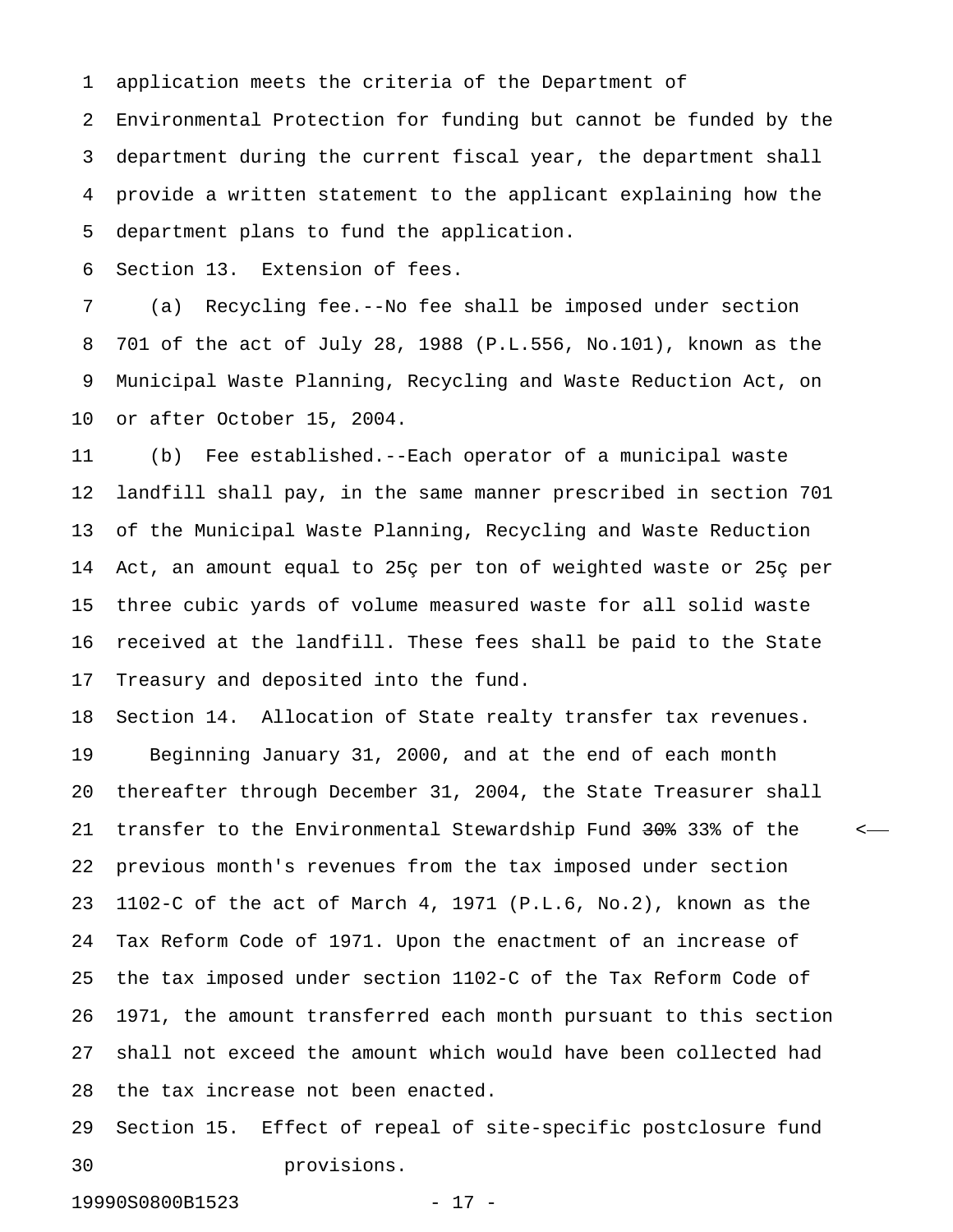1 application meets the criteria of the Department of

2 Environmental Protection for funding but cannot be funded by the 3 department during the current fiscal year, the department shall 4 provide a written statement to the applicant explaining how the 5 department plans to fund the application.

6 Section 13. Extension of fees.

7 (a) Recycling fee.--No fee shall be imposed under section 8 701 of the act of July 28, 1988 (P.L.556, No.101), known as the 9 Municipal Waste Planning, Recycling and Waste Reduction Act, on 10 or after October 15, 2004.

11 (b) Fee established.--Each operator of a municipal waste 12 landfill shall pay, in the same manner prescribed in section 701 13 of the Municipal Waste Planning, Recycling and Waste Reduction 14 Act, an amount equal to 25ç per ton of weighted waste or 25ç per 15 three cubic yards of volume measured waste for all solid waste 16 received at the landfill. These fees shall be paid to the State 17 Treasury and deposited into the fund.

18 Section 14. Allocation of State realty transfer tax revenues. 19 Beginning January 31, 2000, and at the end of each month 20 thereafter through December 31, 2004, the State Treasurer shall 21 transfer to the Environmental Stewardship Fund 30% 33% of the  $\sim$ 22 previous month's revenues from the tax imposed under section 23 1102-C of the act of March 4, 1971 (P.L.6, No.2), known as the 24 Tax Reform Code of 1971. Upon the enactment of an increase of 25 the tax imposed under section 1102-C of the Tax Reform Code of 26 1971, the amount transferred each month pursuant to this section 27 shall not exceed the amount which would have been collected had 28 the tax increase not been enacted.

29 Section 15. Effect of repeal of site-specific postclosure fund 30 provisions.

19990S0800B1523 - 17 -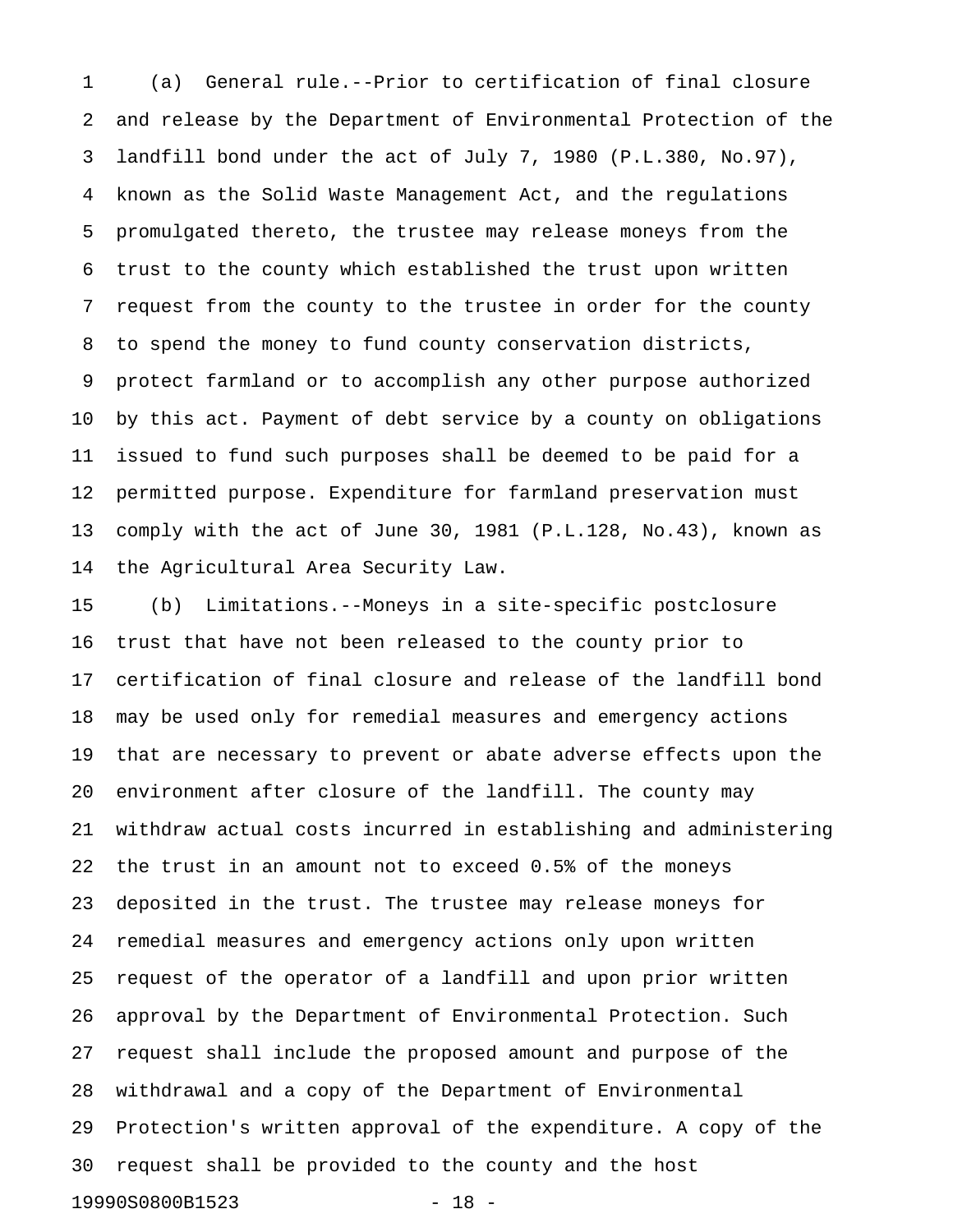1 (a) General rule.--Prior to certification of final closure 2 and release by the Department of Environmental Protection of the 3 landfill bond under the act of July 7, 1980 (P.L.380, No.97), 4 known as the Solid Waste Management Act, and the regulations 5 promulgated thereto, the trustee may release moneys from the 6 trust to the county which established the trust upon written 7 request from the county to the trustee in order for the county 8 to spend the money to fund county conservation districts, 9 protect farmland or to accomplish any other purpose authorized 10 by this act. Payment of debt service by a county on obligations 11 issued to fund such purposes shall be deemed to be paid for a 12 permitted purpose. Expenditure for farmland preservation must 13 comply with the act of June 30, 1981 (P.L.128, No.43), known as 14 the Agricultural Area Security Law.

15 (b) Limitations.--Moneys in a site-specific postclosure 16 trust that have not been released to the county prior to 17 certification of final closure and release of the landfill bond 18 may be used only for remedial measures and emergency actions 19 that are necessary to prevent or abate adverse effects upon the 20 environment after closure of the landfill. The county may 21 withdraw actual costs incurred in establishing and administering 22 the trust in an amount not to exceed 0.5% of the moneys 23 deposited in the trust. The trustee may release moneys for 24 remedial measures and emergency actions only upon written 25 request of the operator of a landfill and upon prior written 26 approval by the Department of Environmental Protection. Such 27 request shall include the proposed amount and purpose of the 28 withdrawal and a copy of the Department of Environmental 29 Protection's written approval of the expenditure. A copy of the 30 request shall be provided to the county and the host 19990S0800B1523 - 18 -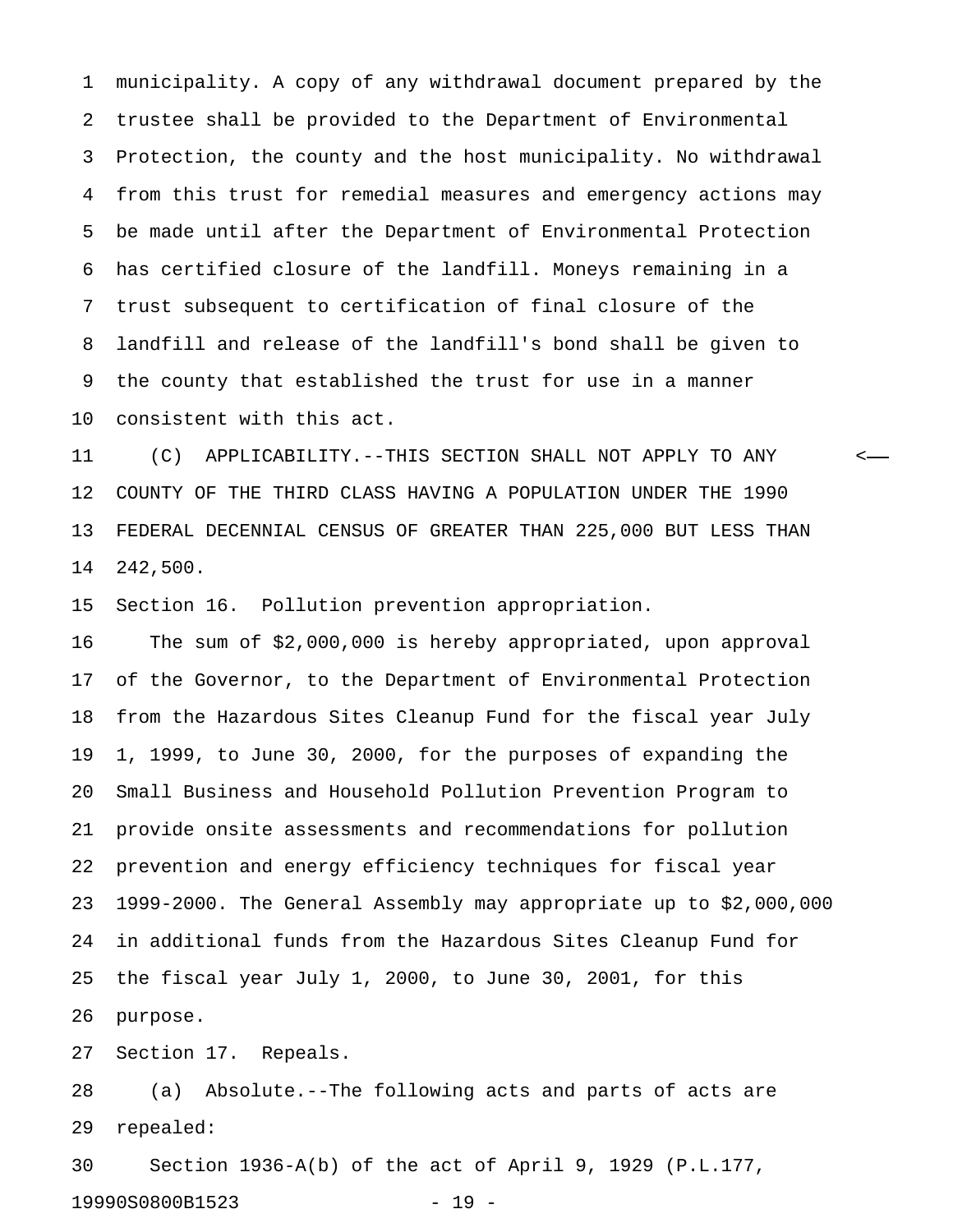1 municipality. A copy of any withdrawal document prepared by the 2 trustee shall be provided to the Department of Environmental 3 Protection, the county and the host municipality. No withdrawal 4 from this trust for remedial measures and emergency actions may 5 be made until after the Department of Environmental Protection 6 has certified closure of the landfill. Moneys remaining in a 7 trust subsequent to certification of final closure of the 8 landfill and release of the landfill's bond shall be given to 9 the county that established the trust for use in a manner 10 consistent with this act.

11 (C) APPLICABILITY.--THIS SECTION SHALL NOT APPLY TO ANY < 12 COUNTY OF THE THIRD CLASS HAVING A POPULATION UNDER THE 1990 13 FEDERAL DECENNIAL CENSUS OF GREATER THAN 225,000 BUT LESS THAN 14 242,500.

15 Section 16. Pollution prevention appropriation.

16 The sum of \$2,000,000 is hereby appropriated, upon approval 17 of the Governor, to the Department of Environmental Protection 18 from the Hazardous Sites Cleanup Fund for the fiscal year July 19 1, 1999, to June 30, 2000, for the purposes of expanding the 20 Small Business and Household Pollution Prevention Program to 21 provide onsite assessments and recommendations for pollution 22 prevention and energy efficiency techniques for fiscal year 23 1999-2000. The General Assembly may appropriate up to \$2,000,000 24 in additional funds from the Hazardous Sites Cleanup Fund for 25 the fiscal year July 1, 2000, to June 30, 2001, for this 26 purpose.

27 Section 17. Repeals.

28 (a) Absolute.--The following acts and parts of acts are 29 repealed:

30 Section 1936-A(b) of the act of April 9, 1929 (P.L.177, 19990S0800B1523 - 19 -